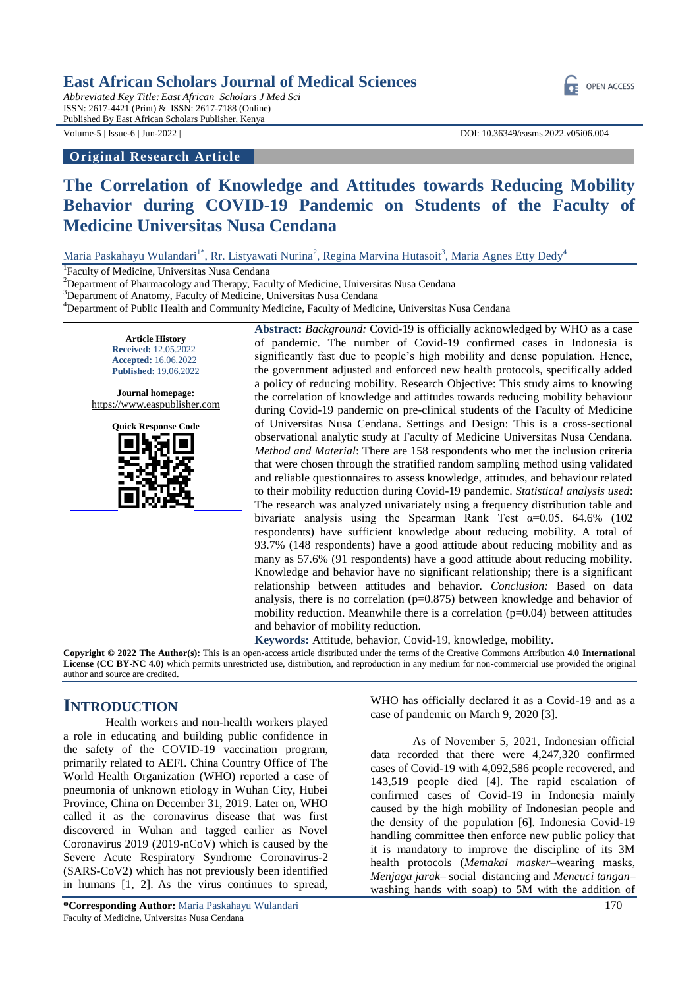*Abbreviated Key Title:East African Scholars J Med Sci* ISSN: 2617-4421 (Print) & ISSN: 2617-7188 (Online) Published By East African Scholars Publisher, Kenya

### **Original Research Article**

Volume-5 | Issue-6 | Jun-2022 | DOI: 10.36349/easms.2022.v05i06.004

OPEN ACCESS

# **The Correlation of Knowledge and Attitudes towards Reducing Mobility Behavior during COVID-19 Pandemic on Students of the Faculty of Medicine Universitas Nusa Cendana**

Maria Paskahayu Wulandari<sup>1\*</sup>, Rr. Listyawati Nurina<sup>2</sup>, Regina Marvina Hutasoit<sup>3</sup>, Maria Agnes Etty Dedy<sup>4</sup>

<sup>1</sup>Faculty of Medicine, Universitas Nusa Cendana

 $2$ Department of Pharmacology and Therapy, Faculty of Medicine, Universitas Nusa Cendana

<sup>3</sup>Department of Anatomy, Faculty of Medicine, Universitas Nusa Cendana

<sup>4</sup>Department of Public Health and Community Medicine, Faculty of Medicine, Universitas Nusa Cendana

**Article History Received:** 12.05.2022 **Accepted:** 16.06.2022 **Published:** 19.06.2022

**Journal homepage:** [https://www.easpublisher.com](https://www.easpublisher.com/)



**Abstract:** *Background:* Covid-19 is officially acknowledged by WHO as a case of pandemic. The number of Covid-19 confirmed cases in Indonesia is significantly fast due to people's high mobility and dense population. Hence, the government adjusted and enforced new health protocols, specifically added a policy of reducing mobility. Research Objective: This study aims to knowing the correlation of knowledge and attitudes towards reducing mobility behaviour during Covid-19 pandemic on pre-clinical students of the Faculty of Medicine of Universitas Nusa Cendana. Settings and Design: This is a cross-sectional observational analytic study at Faculty of Medicine Universitas Nusa Cendana. *Method and Material*: There are 158 respondents who met the inclusion criteria that were chosen through the stratified random sampling method using validated and reliable questionnaires to assess knowledge, attitudes, and behaviour related to their mobility reduction during Covid-19 pandemic. *Statistical analysis used*: The research was analyzed univariately using a frequency distribution table and bivariate analysis using the Spearman Rank Test  $\alpha$ =0.05. 64.6% (102 respondents) have sufficient knowledge about reducing mobility. A total of 93.7% (148 respondents) have a good attitude about reducing mobility and as many as 57.6% (91 respondents) have a good attitude about reducing mobility. Knowledge and behavior have no significant relationship; there is a significant relationship between attitudes and behavior. *Conclusion:* Based on data analysis, there is no correlation  $(p=0.875)$  between knowledge and behavior of mobility reduction. Meanwhile there is a correlation  $(p=0.04)$  between attitudes and behavior of mobility reduction.

**Keywords:** Attitude, behavior, Covid-19, knowledge, mobility.

**Copyright © 2022 The Author(s):** This is an open-access article distributed under the terms of the Creative Commons Attribution **4.0 International License (CC BY-NC 4.0)** which permits unrestricted use, distribution, and reproduction in any medium for non-commercial use provided the original author and source are credited.

### **INTRODUCTION**

Health workers and non-health workers played a role in educating and building public confidence in the safety of the COVID-19 vaccination program, primarily related to AEFI. China Country Office of The World Health Organization (WHO) reported a case of pneumonia of unknown etiology in Wuhan City, Hubei Province, China on December 31, 2019. Later on, WHO called it as the coronavirus disease that was first discovered in Wuhan and tagged earlier as Novel Coronavirus 2019 (2019-nCoV) which is caused by the Severe Acute Respiratory Syndrome Coronavirus-2 (SARS-CoV2) which has not previously been identified in humans [1, 2]. As the virus continues to spread,

WHO has officially declared it as a Covid-19 and as a case of pandemic on March 9, 2020 [3].

As of November 5, 2021, Indonesian official data recorded that there were 4,247,320 confirmed cases of Covid-19 with 4,092,586 people recovered, and 143,519 people died [4]. The rapid escalation of confirmed cases of Covid-19 in Indonesia mainly caused by the high mobility of Indonesian people and the density of the population [6]. Indonesia Covid-19 handling committee then enforce new public policy that it is mandatory to improve the discipline of its 3M health protocols (*Memakai masker*–wearing masks, *Menjaga jarak*– social distancing and *Mencuci tangan*– washing hands with soap) to 5M with the addition of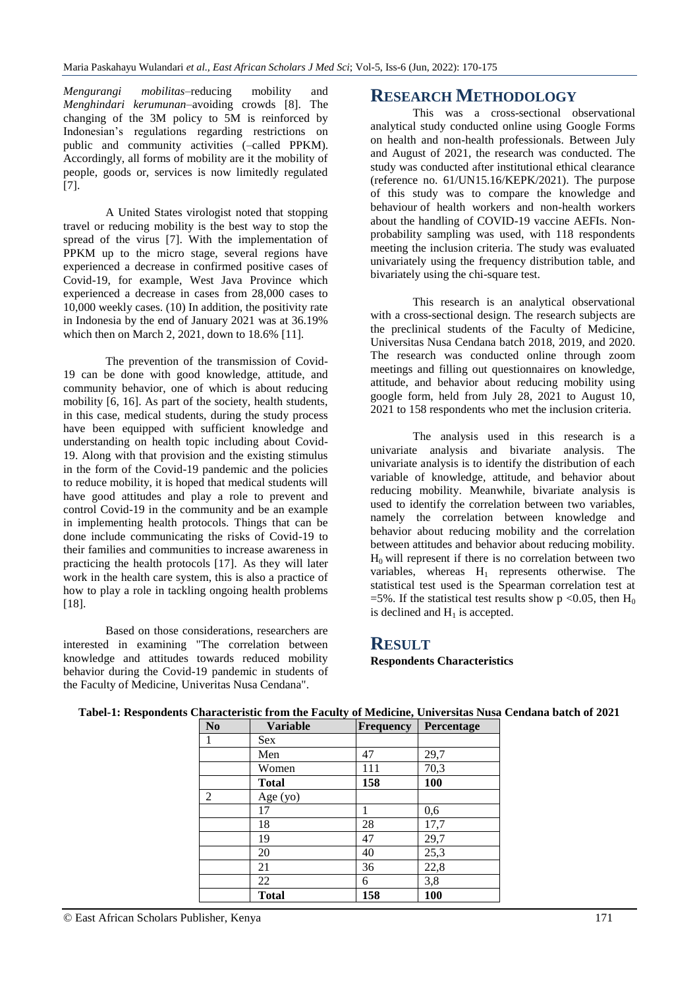*Mengurangi mobilitas*–reducing mobility and *Menghindari kerumunan*–avoiding crowds [8]. The changing of the 3M policy to 5M is reinforced by Indonesian's regulations regarding restrictions on public and community activities (–called PPKM). Accordingly, all forms of mobility are it the mobility of people, goods or, services is now limitedly regulated [7].

A United States virologist noted that stopping travel or reducing mobility is the best way to stop the spread of the virus [7]. With the implementation of PPKM up to the micro stage, several regions have experienced a decrease in confirmed positive cases of Covid-19, for example, West Java Province which experienced a decrease in cases from 28,000 cases to 10,000 weekly cases. (10) In addition, the positivity rate in Indonesia by the end of January 2021 was at 36.19% which then on March 2, 2021, down to 18.6% [11].

The prevention of the transmission of Covid-19 can be done with good knowledge, attitude, and community behavior, one of which is about reducing mobility [6, 16]. As part of the society, health students, in this case, medical students, during the study process have been equipped with sufficient knowledge and understanding on health topic including about Covid-19. Along with that provision and the existing stimulus in the form of the Covid-19 pandemic and the policies to reduce mobility, it is hoped that medical students will have good attitudes and play a role to prevent and control Covid-19 in the community and be an example in implementing health protocols. Things that can be done include communicating the risks of Covid-19 to their families and communities to increase awareness in practicing the health protocols [17]. As they will later work in the health care system, this is also a practice of how to play a role in tackling ongoing health problems [18].

Based on those considerations, researchers are interested in examining "The correlation between knowledge and attitudes towards reduced mobility behavior during the Covid-19 pandemic in students of the Faculty of Medicine, Univeritas Nusa Cendana".

## **RESEARCH METHODOLOGY**

This was a cross-sectional observational analytical study conducted online using Google Forms on health and non-health professionals. Between July and August of 2021, the research was conducted. The study was conducted after institutional ethical clearance (reference no. 61/UN15.16/KEPK/2021). The purpose of this study was to compare the knowledge and behaviour of health workers and non-health workers about the handling of COVID-19 vaccine AEFIs. Nonprobability sampling was used, with 118 respondents meeting the inclusion criteria. The study was evaluated univariately using the frequency distribution table, and bivariately using the chi-square test.

This research is an analytical observational with a cross-sectional design. The research subjects are the preclinical students of the Faculty of Medicine, Universitas Nusa Cendana batch 2018, 2019, and 2020. The research was conducted online through zoom meetings and filling out questionnaires on knowledge, attitude, and behavior about reducing mobility using google form, held from July 28, 2021 to August 10, 2021 to 158 respondents who met the inclusion criteria.

The analysis used in this research is a univariate analysis and bivariate analysis. The univariate analysis is to identify the distribution of each variable of knowledge, attitude, and behavior about reducing mobility. Meanwhile, bivariate analysis is used to identify the correlation between two variables, namely the correlation between knowledge and behavior about reducing mobility and the correlation between attitudes and behavior about reducing mobility.  $H<sub>0</sub>$  will represent if there is no correlation between two variables, whereas  $H_1$  represents otherwise. The statistical test used is the Spearman correlation test at =5%. If the statistical test results show p <0.05, then  $H_0$ is declined and  $H_1$  is accepted.

### **RESULT**

**Respondents Characteristics** 

| N <sub>0</sub> | <b>Variable</b> | <b>Frequency</b> | Percentage |  |  |
|----------------|-----------------|------------------|------------|--|--|
| 1              | <b>Sex</b>      |                  |            |  |  |
|                | Men             | 47               | 29,7       |  |  |
|                | Women           | 111              | 70,3       |  |  |
|                | <b>Total</b>    | 158              | 100        |  |  |
| 2              | Age (yo)        |                  |            |  |  |
|                | 17              | 1                | 0,6        |  |  |
|                | 18              | 28               | 17,7       |  |  |
|                | 19              | 47               | 29,7       |  |  |
|                | 20              | 40               | 25,3       |  |  |
|                | 21              | 36               | 22,8       |  |  |
|                | 22              | 6                | 3,8        |  |  |
|                | <b>Total</b>    | 158              | 100        |  |  |

### **Tabel-1: Respondents Characteristic from the Faculty of Medicine, Universitas Nusa Cendana batch of 2021**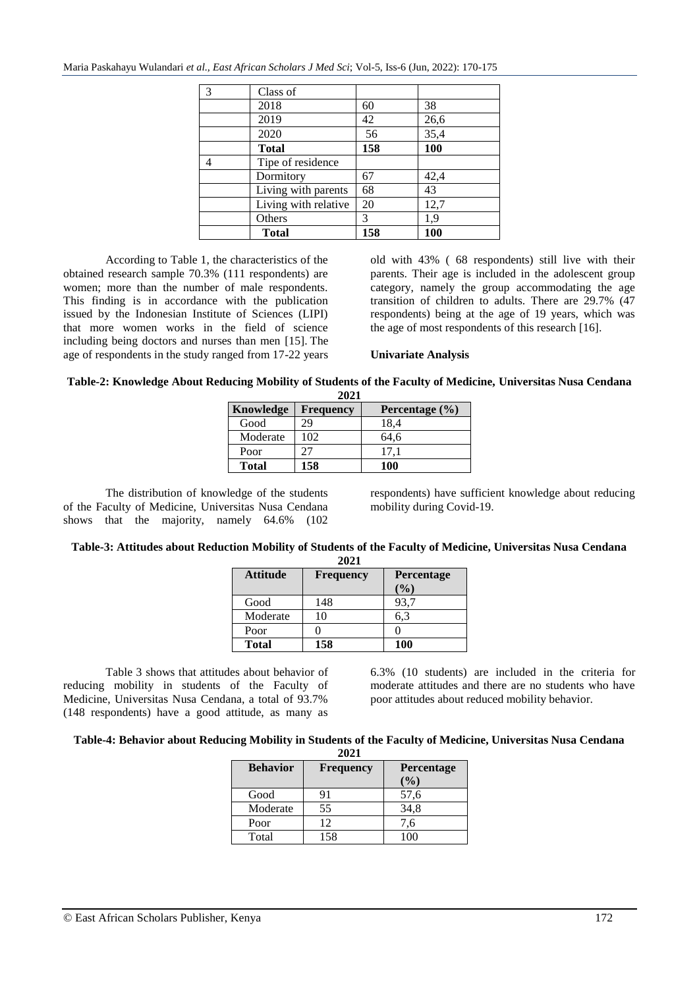| 3 | Class of             |     |      |
|---|----------------------|-----|------|
|   | 2018                 | 60  | 38   |
|   | 2019                 | 42  | 26,6 |
|   | 2020                 | 56  | 35,4 |
|   | <b>Total</b>         | 158 | 100  |
|   | Tipe of residence    |     |      |
|   | Dormitory            | 67  | 42,4 |
|   | Living with parents  | 68  | 43   |
|   | Living with relative | 20  | 12,7 |
|   | Others               | 3   | 1,9  |
|   | <b>Total</b>         | 158 | 100  |
|   |                      |     |      |

According to Table 1, the characteristics of the obtained research sample 70.3% (111 respondents) are women; more than the number of male respondents. This finding is in accordance with the publication issued by the Indonesian Institute of Sciences (LIPI) that more women works in the field of science including being doctors and nurses than men [15]. The age of respondents in the study ranged from 17-22 years

old with 43% ( 68 respondents) still live with their parents. Their age is included in the adolescent group category, namely the group accommodating the age transition of children to adults. There are 29.7% (47 respondents) being at the age of 19 years, which was the age of most respondents of this research [16].

### **Univariate Analysis**

#### **Table-2: Knowledge About Reducing Mobility of Students of the Faculty of Medicine, Universitas Nusa Cendana 2021**

| 404 L        |                  |                    |  |  |  |  |  |  |
|--------------|------------------|--------------------|--|--|--|--|--|--|
| Knowledge    | <b>Frequency</b> | Percentage $(\% )$ |  |  |  |  |  |  |
| Good         | 29               | 18,4               |  |  |  |  |  |  |
| Moderate     | 102              | 64.6               |  |  |  |  |  |  |
| Poor         | 27               | 17.1               |  |  |  |  |  |  |
| <b>Total</b> | 158              | 100                |  |  |  |  |  |  |

The distribution of knowledge of the students of the Faculty of Medicine, Universitas Nusa Cendana shows that the majority, namely 64.6% (102

respondents) have sufficient knowledge about reducing mobility during Covid-19.

#### **Table-3: Attitudes about Reduction Mobility of Students of the Faculty of Medicine, Universitas Nusa Cendana 2021**

| <b>Attitude</b> | <b>Frequency</b> | Percentage |
|-----------------|------------------|------------|
|                 |                  | $(\%)$     |
| Good            | 148              | 93.7       |
| Moderate        | 10               | 6.3        |
| Poor            |                  |            |
| <b>Total</b>    | 158              | 100        |

Table 3 shows that attitudes about behavior of reducing mobility in students of the Faculty of Medicine, Universitas Nusa Cendana, a total of 93.7% (148 respondents) have a good attitude, as many as

6.3% (10 students) are included in the criteria for moderate attitudes and there are no students who have poor attitudes about reduced mobility behavior.

#### **Table-4: Behavior about Reducing Mobility in Students of the Faculty of Medicine, Universitas Nusa Cendana 2021**

| <b>Behavior</b> | <b>Frequency</b> | Percentage<br>$($ %) |
|-----------------|------------------|----------------------|
| Good            | 91               | 57,6                 |
| Moderate        | 55               | 34,8                 |
| Poor            | 12               | 7,6                  |
| Total           | 158              | 100                  |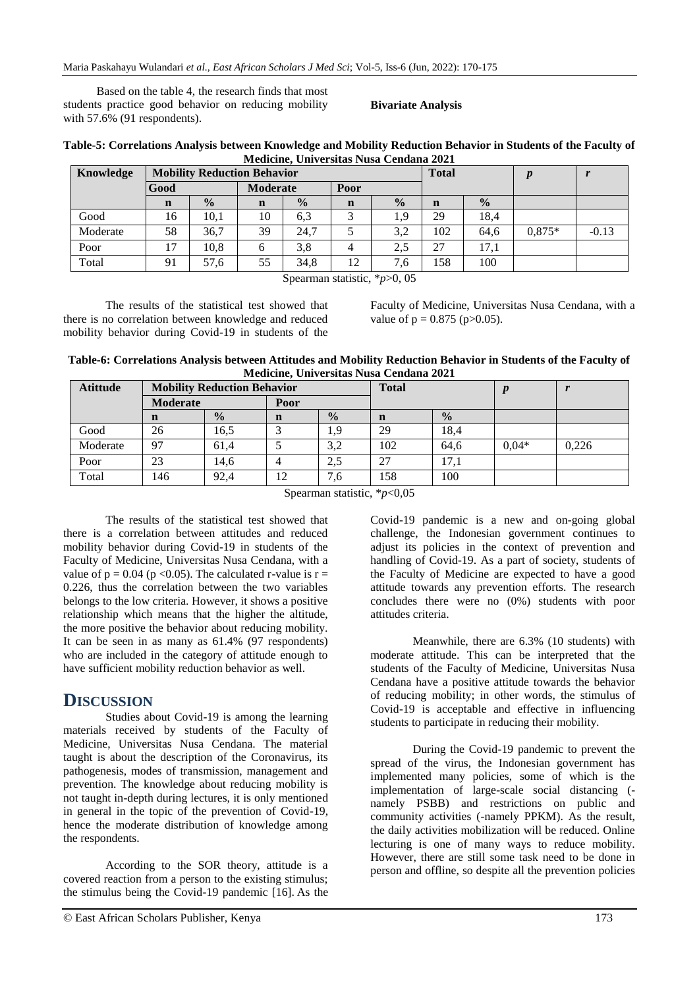Based on the table 4, the research finds that most students practice good behavior on reducing mobility with 57.6% (91 respondents).

### **Bivariate Analysis**

|                                         | Table-5: Correlations Analysis between Knowledge and Mobility Reduction Behavior in Students of the Faculty of |
|-----------------------------------------|----------------------------------------------------------------------------------------------------------------|
| Medicine, Universitas Nusa Cendana 2021 |                                                                                                                |

| Knowledge | <b>Mobility Reduction Behavior</b> |               |                 |               |             | <b>Total</b>  |             | $\boldsymbol{n}$ |          |         |
|-----------|------------------------------------|---------------|-----------------|---------------|-------------|---------------|-------------|------------------|----------|---------|
|           | Good                               |               | <b>Moderate</b> |               | Poor        |               |             |                  |          |         |
|           | $\mathbf n$                        | $\frac{0}{0}$ | $\mathbf n$     | $\frac{0}{0}$ | $\mathbf n$ | $\frac{0}{0}$ | $\mathbf n$ | $\frac{0}{2}$    |          |         |
| Good      | 16                                 | 10.1          | 10              | 6.3           |             | 1,9           | 29          | 18.4             |          |         |
| Moderate  | 58                                 | 36,7          | 39              | 24.7          |             | 3,2           | 102         | 64.6             | $0.875*$ | $-0.13$ |
| Poor      | 17                                 | 10,8          | 6               | 3,8           |             | 2.5           | 27          | 17,1             |          |         |
| Total     | 91                                 | 57,6          | 55              | 34,8          | 12          | 7,6           | 158         | 100              |          |         |

Spearman statistic, \**p*>0, 05

The results of the statistical test showed that there is no correlation between knowledge and reduced mobility behavior during Covid-19 in students of the Faculty of Medicine, Universitas Nusa Cendana, with a value of  $p = 0.875$  ( $p > 0.05$ ).

**Table-6: Correlations Analysis between Attitudes and Mobility Reduction Behavior in Students of the Faculty of Medicine, Universitas Nusa Cendana 2021**

| <b>Atittude</b> | <b>Mobility Reduction Behavior</b> |               |             |               | <b>Total</b> |               |         |       |
|-----------------|------------------------------------|---------------|-------------|---------------|--------------|---------------|---------|-------|
|                 | <b>Moderate</b>                    |               | Poor        |               |              |               |         |       |
|                 | n                                  | $\frac{0}{0}$ | $\mathbf n$ | $\frac{0}{0}$ | n            | $\frac{0}{0}$ |         |       |
| Good            | 26                                 | 16.5          |             | 1.9           | 29           | 18,4          |         |       |
| Moderate        | 97                                 | 61,4          |             | 3,2           | 102          | 64,6          | $0,04*$ | 0,226 |
| Poor            | 23                                 | 14,6          |             | 2.5           | 27           | 17,1          |         |       |
| Total           | 146                                | 92.4          | 12          | 7,6           | 158          | 100           |         |       |

Spearman statistic, \**p*<0,05

The results of the statistical test showed that there is a correlation between attitudes and reduced mobility behavior during Covid-19 in students of the Faculty of Medicine, Universitas Nusa Cendana, with a value of  $p = 0.04$  ( $p < 0.05$ ). The calculated r-value is  $r =$ 0.226, thus the correlation between the two variables belongs to the low criteria. However, it shows a positive relationship which means that the higher the altitude, the more positive the behavior about reducing mobility. It can be seen in as many as 61.4% (97 respondents) who are included in the category of attitude enough to have sufficient mobility reduction behavior as well.

## **DISCUSSION**

Studies about Covid-19 is among the learning materials received by students of the Faculty of Medicine, Universitas Nusa Cendana. The material taught is about the description of the Coronavirus, its pathogenesis, modes of transmission, management and prevention. The knowledge about reducing mobility is not taught in-depth during lectures, it is only mentioned in general in the topic of the prevention of Covid-19, hence the moderate distribution of knowledge among the respondents.

According to the SOR theory, attitude is a covered reaction from a person to the existing stimulus; the stimulus being the Covid-19 pandemic [16]. As the Covid-19 pandemic is a new and on-going global challenge, the Indonesian government continues to adjust its policies in the context of prevention and handling of Covid-19. As a part of society, students of the Faculty of Medicine are expected to have a good attitude towards any prevention efforts. The research concludes there were no (0%) students with poor attitudes criteria.

Meanwhile, there are 6.3% (10 students) with moderate attitude. This can be interpreted that the students of the Faculty of Medicine, Universitas Nusa Cendana have a positive attitude towards the behavior of reducing mobility; in other words, the stimulus of Covid-19 is acceptable and effective in influencing students to participate in reducing their mobility.

During the Covid-19 pandemic to prevent the spread of the virus, the Indonesian government has implemented many policies, some of which is the implementation of large-scale social distancing ( namely PSBB) and restrictions on public and community activities (-namely PPKM). As the result, the daily activities mobilization will be reduced. Online lecturing is one of many ways to reduce mobility. However, there are still some task need to be done in person and offline, so despite all the prevention policies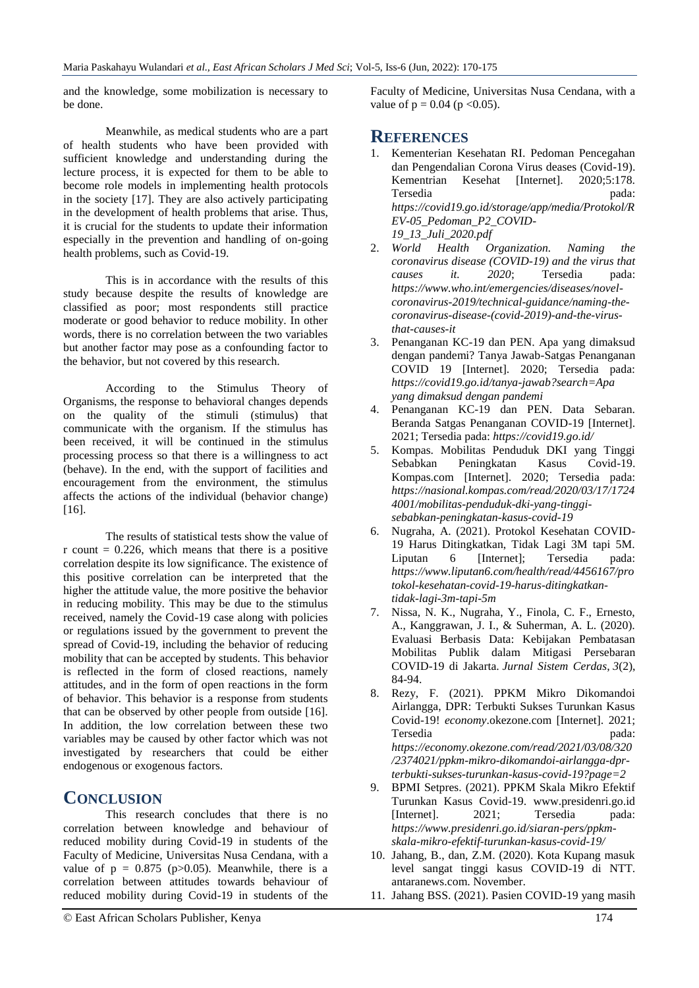and the knowledge, some mobilization is necessary to be done.

Meanwhile, as medical students who are a part of health students who have been provided with sufficient knowledge and understanding during the lecture process, it is expected for them to be able to become role models in implementing health protocols in the society [17]. They are also actively participating in the development of health problems that arise. Thus, it is crucial for the students to update their information especially in the prevention and handling of on-going health problems, such as Covid-19.

This is in accordance with the results of this study because despite the results of knowledge are classified as poor; most respondents still practice moderate or good behavior to reduce mobility. In other words, there is no correlation between the two variables but another factor may pose as a confounding factor to the behavior, but not covered by this research.

According to the Stimulus Theory of Organisms, the response to behavioral changes depends on the quality of the stimuli (stimulus) that communicate with the organism. If the stimulus has been received, it will be continued in the stimulus processing process so that there is a willingness to act (behave). In the end, with the support of facilities and encouragement from the environment, the stimulus affects the actions of the individual (behavior change) [16].

The results of statistical tests show the value of r count  $= 0.226$ , which means that there is a positive correlation despite its low significance. The existence of this positive correlation can be interpreted that the higher the attitude value, the more positive the behavior in reducing mobility. This may be due to the stimulus received, namely the Covid-19 case along with policies or regulations issued by the government to prevent the spread of Covid-19, including the behavior of reducing mobility that can be accepted by students. This behavior is reflected in the form of closed reactions, namely attitudes, and in the form of open reactions in the form of behavior. This behavior is a response from students that can be observed by other people from outside [16]. In addition, the low correlation between these two variables may be caused by other factor which was not investigated by researchers that could be either endogenous or exogenous factors.

## **CONCLUSION**

This research concludes that there is no correlation between knowledge and behaviour of reduced mobility during Covid-19 in students of the Faculty of Medicine, Universitas Nusa Cendana, with a value of  $p = 0.875$  ( $p > 0.05$ ). Meanwhile, there is a correlation between attitudes towards behaviour of reduced mobility during Covid-19 in students of the

Faculty of Medicine, Universitas Nusa Cendana, with a value of  $p = 0.04$  ( $p < 0.05$ ).

## **REFERENCES**

- 1. Kementerian Kesehatan RI. Pedoman Pencegahan dan Pengendalian Corona Virus deases (Covid-19). Kementrian Kesehat [Internet]. 2020;5:178. Tersedia pada: *https://covid19.go.id/storage/app/media/Protokol/R EV-05\_Pedoman\_P2\_COVID-19\_13\_Juli\_2020.pdf*
- 2. *World Health Organization. Naming the coronavirus disease (COVID-19) and the virus that causes it. 2020*; Tersedia pada: *[https://www.who.int/emergencies/diseases/novel](https://www.who.int/emergencies/diseases/novel-coronavirus-2019/technical-guidance/naming-the-coronavirus-disease-(covid-2019)-and-the-virus-that-causes-it)[coronavirus-2019/technical-guidance/naming-the](https://www.who.int/emergencies/diseases/novel-coronavirus-2019/technical-guidance/naming-the-coronavirus-disease-(covid-2019)-and-the-virus-that-causes-it)[coronavirus-disease-\(covid-2019\)-and-the-virus](https://www.who.int/emergencies/diseases/novel-coronavirus-2019/technical-guidance/naming-the-coronavirus-disease-(covid-2019)-and-the-virus-that-causes-it)[that-causes-it](https://www.who.int/emergencies/diseases/novel-coronavirus-2019/technical-guidance/naming-the-coronavirus-disease-(covid-2019)-and-the-virus-that-causes-it)*
- 3. Penanganan KC-19 dan PEN. Apa yang dimaksud dengan pandemi? Tanya Jawab-Satgas Penanganan COVID 19 [Internet]. 2020; Tersedia pada: *https://covid19.go.id/tanya-jawab?search=Apa yang dimaksud dengan pandemi*
- 4. Penanganan KC-19 dan PEN. Data Sebaran. Beranda Satgas Penanganan COVID-19 [Internet]. 2021; Tersedia pada: *https://covid19.go.id/*
- 5. Kompas. Mobilitas Penduduk DKI yang Tinggi Sebabkan Peningkatan Kasus Covid-19. Kompas.com [Internet]. 2020; Tersedia pada: *[https://nasional.kompas.com/read/2020/03/17/1724](https://nasional.kompas.com/read/2020/03/17/17244001/mobilitas-penduduk-dki-yang-tinggi-sebabkan-peningkatan-kasus-covid-19) [4001/mobilitas-penduduk-dki-yang-tinggi](https://nasional.kompas.com/read/2020/03/17/17244001/mobilitas-penduduk-dki-yang-tinggi-sebabkan-peningkatan-kasus-covid-19)[sebabkan-peningkatan-kasus-covid-19](https://nasional.kompas.com/read/2020/03/17/17244001/mobilitas-penduduk-dki-yang-tinggi-sebabkan-peningkatan-kasus-covid-19)*
- 6. Nugraha, A. (2021). Protokol Kesehatan COVID-19 Harus Ditingkatkan, Tidak Lagi 3M tapi 5M. Liputan 6 [Internet]; Tersedia pada: *https://www.liputan6.com/health/read/4456167/pro tokol-kesehatan-covid-19-harus-ditingkatkantidak-lagi-3m-tapi-5m*
- 7. Nissa, N. K., Nugraha, Y., Finola, C. F., Ernesto, A., Kanggrawan, J. I., & Suherman, A. L. (2020). Evaluasi Berbasis Data: Kebijakan Pembatasan Mobilitas Publik dalam Mitigasi Persebaran COVID-19 di Jakarta. *Jurnal Sistem Cerdas*, *3*(2), 84-94.
- 8. Rezy, F. (2021). PPKM Mikro Dikomandoi Airlangga, DPR: Terbukti Sukses Turunkan Kasus Covid-19! *economy*.okezone.com [Internet]. 2021; Tersedia pada: *https://economy.okezone.com/read/2021/03/08/320 /2374021/ppkm-mikro-dikomandoi-airlangga-dprterbukti-sukses-turunkan-kasus-covid-19?page=2*
- 9. BPMI Setpres. (2021). PPKM Skala Mikro Efektif Turunkan Kasus Covid-19. www.presidenri.go.id [Internet]. 2021; Tersedia pada: *[https://www.presidenri.go.id/siaran-pers/ppkm](https://www.presidenri.go.id/siaran-pers/ppkm-skala-mikro-efektif-turunkan-kasus-covid-19/)[skala-mikro-efektif-turunkan-kasus-covid-19/](https://www.presidenri.go.id/siaran-pers/ppkm-skala-mikro-efektif-turunkan-kasus-covid-19/)*
- 10. Jahang, B., dan, Z.M. (2020). Kota Kupang masuk level sangat tinggi kasus COVID-19 di NTT. antaranews.com. November.
- 11. Jahang BSS. (2021). Pasien COVID-19 yang masih